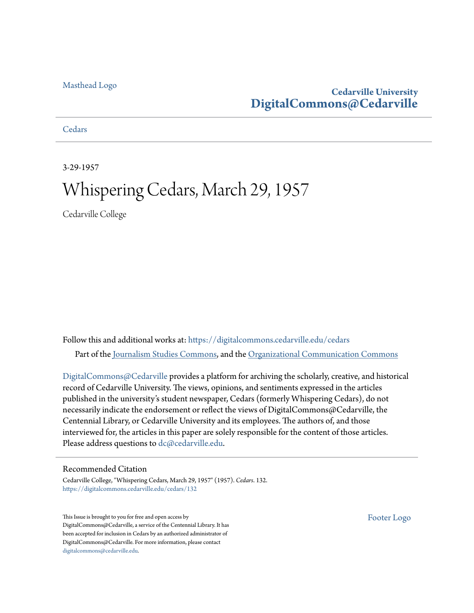#### [Masthead Logo](http://www.cedarville.edu/?utm_source=digitalcommons.cedarville.edu%2Fcedars%2F132&utm_medium=PDF&utm_campaign=PDFCoverPages)

## **Cedarville University [DigitalCommons@Cedarville](https://digitalcommons.cedarville.edu?utm_source=digitalcommons.cedarville.edu%2Fcedars%2F132&utm_medium=PDF&utm_campaign=PDFCoverPages)**

**[Cedars](https://digitalcommons.cedarville.edu/cedars?utm_source=digitalcommons.cedarville.edu%2Fcedars%2F132&utm_medium=PDF&utm_campaign=PDFCoverPages)** 

3-29-1957

# Whispering Cedars, March 29, 1957

Cedarville College

Follow this and additional works at: [https://digitalcommons.cedarville.edu/cedars](https://digitalcommons.cedarville.edu/cedars?utm_source=digitalcommons.cedarville.edu%2Fcedars%2F132&utm_medium=PDF&utm_campaign=PDFCoverPages) Part of the [Journalism Studies Commons](http://network.bepress.com/hgg/discipline/333?utm_source=digitalcommons.cedarville.edu%2Fcedars%2F132&utm_medium=PDF&utm_campaign=PDFCoverPages), and the [Organizational Communication Commons](http://network.bepress.com/hgg/discipline/335?utm_source=digitalcommons.cedarville.edu%2Fcedars%2F132&utm_medium=PDF&utm_campaign=PDFCoverPages)

[DigitalCommons@Cedarville](http://digitalcommons.cedarville.edu/) provides a platform for archiving the scholarly, creative, and historical record of Cedarville University. The views, opinions, and sentiments expressed in the articles published in the university's student newspaper, Cedars (formerly Whispering Cedars), do not necessarily indicate the endorsement or reflect the views of DigitalCommons@Cedarville, the Centennial Library, or Cedarville University and its employees. The authors of, and those interviewed for, the articles in this paper are solely responsible for the content of those articles. Please address questions to [dc@cedarville.edu.](mailto:dc@cedarville.edu)

#### Recommended Citation

Cedarville College, "Whispering Cedars, March 29, 1957" (1957). *Cedars*. 132. [https://digitalcommons.cedarville.edu/cedars/132](https://digitalcommons.cedarville.edu/cedars/132?utm_source=digitalcommons.cedarville.edu%2Fcedars%2F132&utm_medium=PDF&utm_campaign=PDFCoverPages)

This Issue is brought to you for free and open access by DigitalCommons@Cedarville, a service of the Centennial Library. It has been accepted for inclusion in Cedars by an authorized administrator of DigitalCommons@Cedarville. For more information, please contact [digitalcommons@cedarville.edu](mailto:digitalcommons@cedarville.edu).

[Footer Logo](http://www.cedarville.edu/Academics/Library.aspx?utm_source=digitalcommons.cedarville.edu%2Fcedars%2F132&utm_medium=PDF&utm_campaign=PDFCoverPages)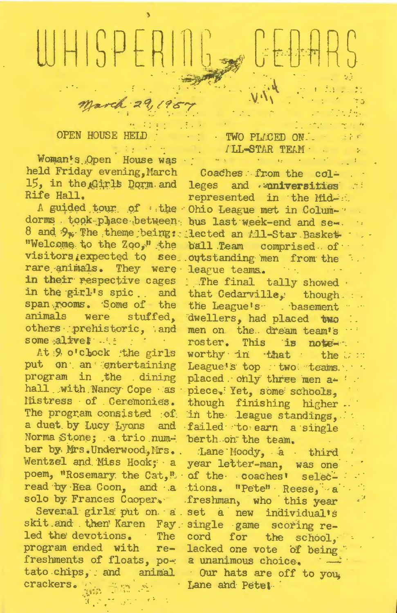# WHISPERI

#### **OPEN HOUSE HET**

Woman's Open House was held Friday evening, March Coaches from the col-Rife Hall.

rare animals. They were league teams. in their respective cages : The final tally showed. some aliver the contract of the state of the state of the state of the state of the state of the state of the  $\mathbf{r} = \mathbf{r}$ 

program in the dining hall with Nancy Cope as piece. Yet, some schools, lüstress of Ceremonies. a duet by Lucy Lyons and failed to earn a single Norma Stone; a trio number by Mrs. Underwood, Mrs. Lane Hoody, a third Wentzel and Miss Hook; a poem, "Rosemary the Cat," of the coaches' selecread by Eea Coon, and a tions. "Pete" Reese, a

skit and then Karen Fay single game scoring reled the devotions. The cord for the program ended with re- lacked one vote of being freshments of floats, po- a unanimous choice. tato chips, and animal our hats are off to you, crackers.

#### TWO PLACED ON. TIL-STAR TEAM

 $\Theta_{\mathcal{A}}(\mathbf{x}) = \left\{ \begin{array}{ll} \mathbf{y} & \mathbf{y} \\ \mathbf{y} & \mathbf{y} \end{array} \right. \hspace{0.5cm} \left\{ \begin{array}{ll} \mathbf{y} & \mathbf{y} \\ \mathbf{y} & \mathbf{y} \end{array} \right. \hspace{0.5cm} \right.$ 

15, in the Girls Dorm and leges and aniversities represented in the Mid-A guided tour of the Ohio League met in Columdorms took phace between bus last week-end and se-8 and  $9_p$ . The theme being: lected an All-Star Basket "Welcome to the Zoo," the ball Team comprised of visitors rexpected to see outstanding men from the

in the girl's spic. and that Cedarville, though. span rooms. Some of the the League's . basement ... animals were stuffed, dwellers, had placed two others prehistoric, and men on the dream team's roster. This is note-At 9 o'clock the girls worthy in that the War put on an entertaining League's top wool teams. placed only three men a- '. though finishing higher. The program consisted of in the league standings, berth on the team.

year letter-man, was one solo by Frances Cooper. freshman, who this year Several girls put on a set a new individual's school. Lane and Petet.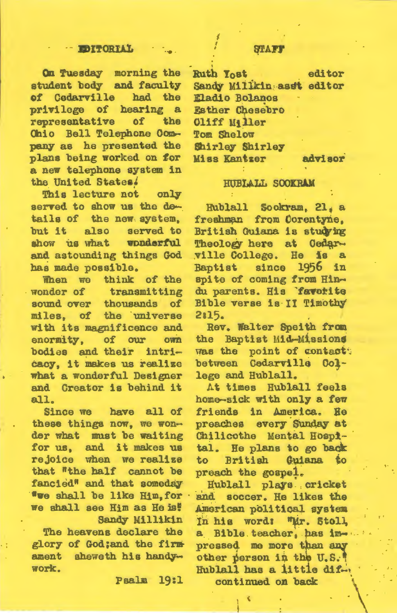On Tuesday morning the student body and faculty of Cedarville had the privilege of hearing a representative the of Ohio Bell Telephone Company as he presented the plans being worked on for a new telephone system in the United States.

This lecture not only served to show us the details of the new system. but it also served to show us what wonderful and astounding things God has made possible.

When we think of the wonder of transmitting sound over thousands of miles, of the universe with its magnificence and enormity. of our **OWN** bodies and their intricacy, it makes us realize what a wonderful Designer and Creator is behind it all.

Since we have all of these things now, we wonder what must be waiting for us, and it makes us rejoice when we realize that "the half cannot be fancied<sup>®</sup> and that someday **"we shall be like Him, for** we shall see Him as He is! Sandy Millikin

The heavens declare the glory of God;and the firm ament sheweth his handywork.

Paalm 19:1

editor Ruth Yost Sandy Millkin asst editor **Eladio Bolanos Esther Chesebro Cliff Miller** Tom Shelow Shirley Shirley **Miss Kantzer** advisor

#### HUBIALL SOOKRAM

Hublall Sockram, 21, a freshman from Corentyne. British Guiana is studying Theology here at Cedarville College. He is a 1956 Baptist since in spite of coming from Hindu parents. His favorite Bible verse is II Timothy 2:15.

Rev. Walter Speith from the Baptist Mid-Missions was the point of contact: between Cedarville College and Hublall.

At times Hublall feels home-sick with only a few friends in America. He preaches every Sunday at Chilicothe Mental Hospital. He plans to go back British Guiana to to preach the gospel.

Hublall plays cricket and soccer. He likes the American political system In his word: "Mr. Stoll, Bible teacher, has im- $\mathbf{a}$ pressed me more than any other person in the U.S. Hublall has a little difcontinued on back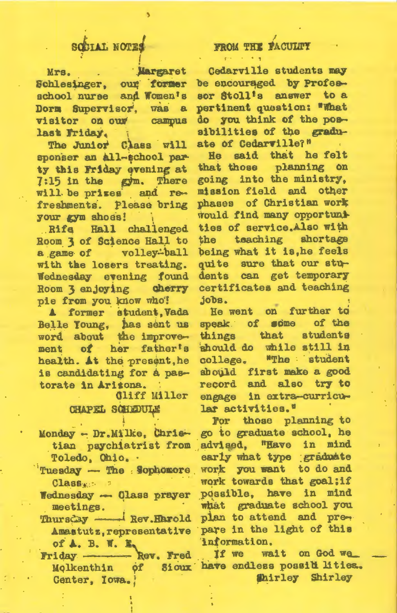# SCCIAL NOTES

Mrs. Margaret Schlesinger, our former school nurse and Women's Dorm Supervisor, was a visitor on our campus last Friday.

The Junior Class will sponser an all-school party this Friday evening at  $7:15$  in the  $x\text{cm}$ . There will be prizes and refreshments. Please bring your gym shoes!

Rife Hall challenged Room 3 of Science Hall to a game of volley-ball with the losers treating. Wednesday evening found Room 3 enjoying cherry pie from you know who!

A former student, Vada Belle Young, has sent us word about the improvement of her father's health. At the present, he is candidating for a pastorate in Aritona.

#### **Cliff Miller CHAPEL SCHEDULE**

- Monday Dr. Milke, Christian psychiatrist from Toledo, Ohio. .
- Tuesday The Sophomore  $\text{Class}_{\text{K}}$
- Wednesday Class prayer meetings.
- Thursday Rev. Harold Amastutz, representative of A. B. W. E.
- Friday ------- Rev. Fred Molkenthin of Center, Iowa.

### FROM THE FACULTY

Cedarville students may be encouraged by Professor Stoll's answer to a pertinent question: "What do you think of the possibilities of the graduate of Cedarville?"  $\mathcal{L}^{\pm}$ 

He said that he felt that those planning on going into the ministry. mission field and other phases of Christian work would find many opportuni ties of service.Also with the teaching shortage being what it is, he feels quite sure that our students can get temporary certificates and teaching  $j$ obs.

He went on further to speak of some of the things that students should do while still in college. "The student should first make a good record and also try to engage in extra-curricular activities."

For those planning to go to graduate school, he advised. "Have in mind early what type graduate work you want to do and work towards that goal;if possible, have in mind what graduate school you plan to attend and prepare in the light of this information.

If we wait on God we Sioux have endless possid lities. **Shirley** Shirley